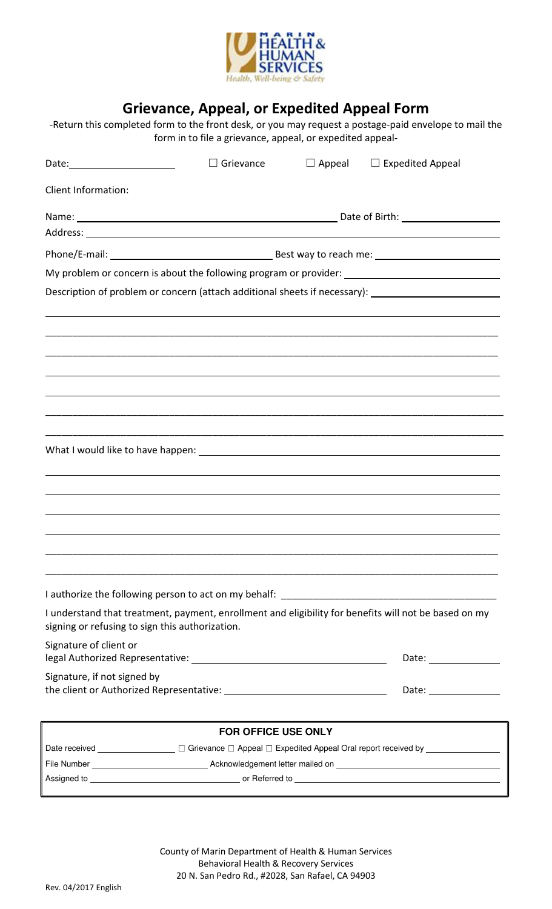

# Grievance, Appeal, or Expedited Appeal Form

‐Return this completed form to the front desk, or you may request a postage‐paid envelope to mail the form in to file a grievance, appeal, or expedited appeal‐

| Date: _________________________                 | Grievance                                                                                                      | $\Box$ Appeal | $\Box$ Expedited Appeal                                                                               |
|-------------------------------------------------|----------------------------------------------------------------------------------------------------------------|---------------|-------------------------------------------------------------------------------------------------------|
| <b>Client Information:</b>                      |                                                                                                                |               |                                                                                                       |
|                                                 |                                                                                                                |               |                                                                                                       |
|                                                 |                                                                                                                |               |                                                                                                       |
|                                                 |                                                                                                                |               |                                                                                                       |
|                                                 |                                                                                                                |               | My problem or concern is about the following program or provider: __________________________________  |
|                                                 |                                                                                                                |               | Description of problem or concern (attach additional sheets if necessary): ________________________   |
|                                                 |                                                                                                                |               |                                                                                                       |
|                                                 |                                                                                                                |               |                                                                                                       |
|                                                 |                                                                                                                |               |                                                                                                       |
|                                                 |                                                                                                                |               |                                                                                                       |
|                                                 |                                                                                                                |               |                                                                                                       |
|                                                 |                                                                                                                |               |                                                                                                       |
|                                                 |                                                                                                                |               |                                                                                                       |
|                                                 |                                                                                                                |               |                                                                                                       |
|                                                 |                                                                                                                |               |                                                                                                       |
|                                                 |                                                                                                                |               |                                                                                                       |
|                                                 |                                                                                                                |               |                                                                                                       |
|                                                 |                                                                                                                |               |                                                                                                       |
| signing or refusing to sign this authorization. |                                                                                                                |               | I understand that treatment, payment, enrollment and eligibility for benefits will not be based on my |
| Signature of client or                          |                                                                                                                |               |                                                                                                       |
| Signature, if not signed by                     |                                                                                                                |               |                                                                                                       |
|                                                 |                                                                                                                |               |                                                                                                       |
|                                                 | <b>FOR OFFICE USE ONLY</b>                                                                                     |               |                                                                                                       |
|                                                 | Date received _________________ □ Grievance □ Appeal □ Expedited Appeal Oral report received by ______________ |               |                                                                                                       |
|                                                 |                                                                                                                |               |                                                                                                       |
|                                                 |                                                                                                                |               |                                                                                                       |

County of Marin Department of Health & Human Services Behavioral Health & Recovery Services 20 N. San Pedro Rd., #2028, San Rafael, CA 94903